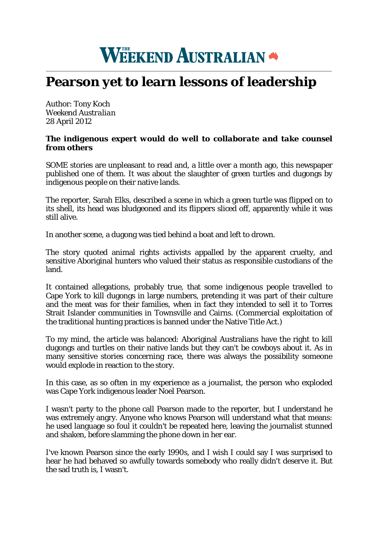## WEEKEND AUSTRALIAN

## **Pearson yet to learn lessons of leadership**

Author: Tony Koch *Weekend Australian* 28 April 2012

## *The indigenous expert would do well to collaborate and take counsel from others*

SOME stories are unpleasant to read and, a little over a month ago, this newspaper published one of them. It was about the slaughter of green turtles and dugongs by indigenous people on their native lands.

The reporter, Sarah Elks, described a scene in which a green turtle was flipped on to its shell, its head was bludgeoned and its flippers sliced off, apparently while it was still alive.

In another scene, a dugong was tied behind a boat and left to drown.

The story quoted animal rights activists appalled by the apparent cruelty, and sensitive Aboriginal hunters who valued their status as responsible custodians of the land.

It contained allegations, probably true, that some indigenous people travelled to Cape York to kill dugongs in large numbers, pretending it was part of their culture and the meat was for their families, when in fact they intended to sell it to Torres Strait Islander communities in Townsville and Cairns. (Commercial exploitation of the traditional hunting practices is banned under the Native Title Act.)

To my mind, the article was balanced: Aboriginal Australians have the right to kill dugongs and turtles on their native lands but they can't be cowboys about it. As in many sensitive stories concerning race, there was always the possibility someone would explode in reaction to the story.

In this case, as so often in my experience as a journalist, the person who exploded was Cape York indigenous leader Noel Pearson.

I wasn't party to the phone call Pearson made to the reporter, but I understand he was extremely angry. Anyone who knows Pearson will understand what that means: he used language so foul it couldn't be repeated here, leaving the journalist stunned and shaken, before slamming the phone down in her ear.

I've known Pearson since the early 1990s, and I wish I could say I was surprised to hear he had behaved so awfully towards somebody who really didn't deserve it. But the sad truth is, I wasn't.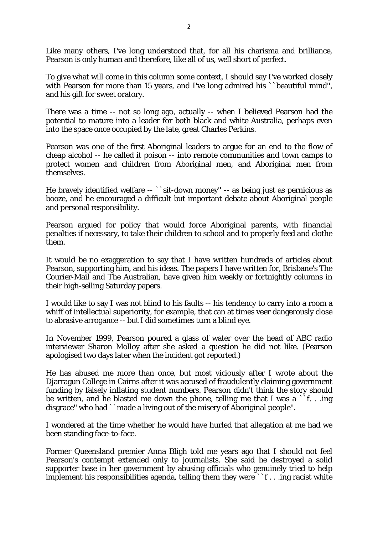Like many others, I've long understood that, for all his charisma and brilliance, Pearson is only human and therefore, like all of us, well short of perfect.

To give what will come in this column some context, I should say I've worked closely with Pearson for more than 15 years, and I've long admired his ``beautiful mind'', and his gift for sweet oratory.

There was a time -- not so long ago, actually -- when I believed Pearson had the potential to mature into a leader for both black and white Australia, perhaps even into the space once occupied by the late, great Charles Perkins.

Pearson was one of the first Aboriginal leaders to argue for an end to the flow of cheap alcohol -- he called it poison -- into remote communities and town camps to protect women and children from Aboriginal men, and Aboriginal men from themselves.

He bravely identified welfare -- ``sit-down money'' -- as being just as pernicious as booze, and he encouraged a difficult but important debate about Aboriginal people and personal responsibility.

Pearson argued for policy that would force Aboriginal parents, with financial penalties if necessary, to take their children to school and to properly feed and clothe them.

It would be no exaggeration to say that I have written hundreds of articles about Pearson, supporting him, and his ideas. The papers I have written for, Brisbane's The Courier-Mail and The Australian, have given him weekly or fortnightly columns in their high-selling Saturday papers.

I would like to say I was not blind to his faults -- his tendency to carry into a room a whiff of intellectual superiority, for example, that can at times veer dangerously close to abrasive arrogance -- but I did sometimes turn a blind eye.

In November 1999, Pearson poured a glass of water over the head of ABC radio interviewer Sharon Molloy after she asked a question he did not like. (Pearson apologised two days later when the incident got reported.)

He has abused me more than once, but most viciously after I wrote about the Djarragun College in Cairns after it was accused of fraudulently claiming government funding by falsely inflating student numbers. Pearson didn't think the story should be written, and he blasted me down the phone, telling me that I was a ``f. . .ing disgrace'' who had ``made a living out of the misery of Aboriginal people''.

I wondered at the time whether he would have hurled that allegation at me had we been standing face-to-face.

Former Queensland premier Anna Bligh told me years ago that I should not feel Pearson's contempt extended only to journalists. She said he destroyed a solid supporter base in her government by abusing officials who genuinely tried to help implement his responsibilities agenda, telling them they were ``f . . .ing racist white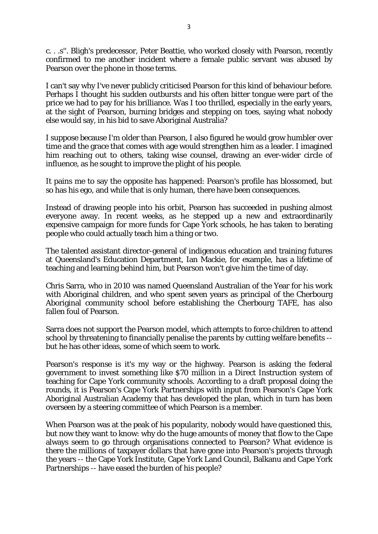c. . .s''. Bligh's predecessor, Peter Beattie, who worked closely with Pearson, recently confirmed to me another incident where a female public servant was abused by Pearson over the phone in those terms.

I can't say why I've never publicly criticised Pearson for this kind of behaviour before. Perhaps I thought his sudden outbursts and his often bitter tongue were part of the price we had to pay for his brilliance. Was I too thrilled, especially in the early years, at the sight of Pearson, burning bridges and stepping on toes, saying what nobody else would say, in his bid to save Aboriginal Australia?

I suppose because I'm older than Pearson, I also figured he would grow humbler over time and the grace that comes with age would strengthen him as a leader. I imagined him reaching out to others, taking wise counsel, drawing an ever-wider circle of influence, as he sought to improve the plight of his people.

It pains me to say the opposite has happened: Pearson's profile has blossomed, but so has his ego, and while that is only human, there have been consequences.

Instead of drawing people into his orbit, Pearson has succeeded in pushing almost everyone away. In recent weeks, as he stepped up a new and extraordinarily expensive campaign for more funds for Cape York schools, he has taken to berating people who could actually teach him a thing or two.

The talented assistant director-general of indigenous education and training futures at Queensland's Education Department, Ian Mackie, for example, has a lifetime of teaching and learning behind him, but Pearson won't give him the time of day.

Chris Sarra, who in 2010 was named Queensland Australian of the Year for his work with Aboriginal children, and who spent seven years as principal of the Cherbourg Aboriginal community school before establishing the Cherbourg TAFE, has also fallen foul of Pearson.

Sarra does not support the Pearson model, which attempts to force children to attend school by threatening to financially penalise the parents by cutting welfare benefits - but he has other ideas, some of which seem to work.

Pearson's response is it's my way or the highway. Pearson is asking the federal government to invest something like \$70 million in a Direct Instruction system of teaching for Cape York community schools. According to a draft proposal doing the rounds, it is Pearson's Cape York Partnerships with input from Pearson's Cape York Aboriginal Australian Academy that has developed the plan, which in turn has been overseen by a steering committee of which Pearson is a member.

When Pearson was at the peak of his popularity, nobody would have questioned this, but now they want to know: why do the huge amounts of money that flow to the Cape always seem to go through organisations connected to Pearson? What evidence is there the millions of taxpayer dollars that have gone into Pearson's projects through the years -- the Cape York Institute, Cape York Land Council, Balkanu and Cape York Partnerships -- have eased the burden of his people?